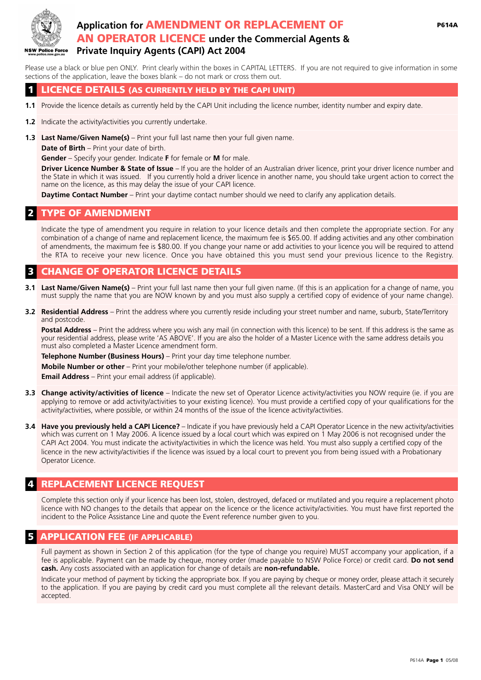

# **Application for** AMENDMENT OR REPLACEMENT OF AN OPERATOR LICENCE **under the Commercial Agents & Private Inquiry Agents (CAPI) Act 2004**

Please use a black or blue pen ONLY. Print clearly within the boxes in CAPITAL LETTERS. If you are not required to give information in some sections of the application, leave the boxes blank – do not mark or cross them out.

### 1 LICENCE DETAILS (AS CURRENTLY HELD BY THE CAPI UNIT)

- 1.1 Provide the licence details as currently held by the CAPI Unit including the licence number, identity number and expiry date.
- **1.2** Indicate the activity/activities you currently undertake.  $\Box$  . The state of  $\Box$  ,  $\Box$  ,  $\Box$  ,  $\Box$  ,  $\Box$  ,  $\Box$  ,  $\Box$  ,  $\Box$  ,  $\Box$  ,  $\Box$  ,  $\Box$  ,  $\Box$  ,  $\Box$  ,  $\Box$  ,  $\Box$  ,  $\Box$  ,  $\Box$  ,  $\Box$  ,  $\Box$  ,  $\Box$  ,  $\Box$  ,  $\Box$  ,  $\Box$  ,  $\Box$  ,  $\Box$  ,  $\Box$  ,  $\Box$  ,  $\Box$  ,  $\Box$
- **1.3 Last Name/Given Name(s)** Print your full last name then your full given name.

**Date of Birth** – Print your date of birth.

**Gender** – Specify your gender. Indicate **F** for female or **M** for male.

**Driver Licence Number & State of Issue** – If you are the holder of an Australian driver licence, print your driver licence number and the State in which it was issued. If you currently hold a driver licence in another name, you should take urgent action to correct the name on the licence, as this may delay the issue of your CAPI licence.

**Daytime Contact Number** – Print your daytime contact number should we need to clarify any application details.

# **TYPE OF AMENDMENT**

Indicate the type of amendment you require in relation to your licence details and then complete the appropriate section. For any combination of a change of name and replacement licence, the maximum fee is \$65.00. If adding activities and any other combination of amendments, the maximum fee is \$80.00. If you change your name or add activities to your licence you will be required to attend the RTA to receive your new licence. Once you have obtained this you must send your previous licence to the Registry.

# **CHANGE OF OPERATOR LICENCE DETAILS**

- **3.1 Last Name/Given Name(s)** Print your full last name then your full given name. (If this is an application for a change of name, you must supply the name that you are NOW known by and you must also supply a certified copy of evidence of your name change).
- **3.2 Residential Address** Print the address where you currently reside including your street number and name, suburb, State/Territory and postcode.

Postal Address - Print the address where you wish any mail (in connection with this licence) to be sent. If this address is the same as your residential address, please write 'AS ABOVE'. If you are also the holder of a Master Licence with the same address details you must also completed a Master Licence amendment form.

**Telephone Number (Business Hours)** – Print your day time telephone number.

**Mobile Number or other** – Print your mobile/other telephone number (if applicable).

**Email Address** – Print your email address (if applicable).  $\Box$ 

- **3.3 Change activity/activities of licence** Indicate the new set of Operator Licence activity/activities you NOW require (ie. if you are applying to remove or add activity/activities to your existing licence). You must provide a certified copy of your qualifications for the activity/activities, where possible, or within 24 months of the issue of the licence activity/activities.  $\Box$  , we have the summary definition of the summary definition of the summary of the summary of the summary of the summary of the summary of the summary of the summary of the summary of the summary of the summary of the
- **3.4 Have you previously held a CAPI Licence?** Indicate if you have previously held a CAPI Operator Licence in the new activity/activities which was current on 1 May 2006. A licence issued by a local court which was expired on 1 May 2006 is not recognised under the CAPI Act 2004. You must indicate the activity/activities in which the licence was held. You must also supply a certified copy of the licence in the new activity/activities if the licence was issued by a local court to prevent you from being issued with a Probationary Operator Licence.

# REPLACEMENT LICENCE REQUEST

Complete this section only if your licence has been lost, stolen, destroyed, defaced or mutilated and you require a replacement photo licence with NO changes to the details that appear on the licence or the licence activity/activities. You must have first reported the incident to the Police Assistance Line and quote the Event reference number given to you.

### **APPLICATION FEE (IF APPLICABLE)**

Full payment as shown in Section 2 of this application (for the type of change you require) MUST accompany your application, if a fee is applicable. Payment can be made by cheque, money order (made payable to NSW Police Force) or credit card. **Do not send cash.** Any costs associated with an application for change of details are **non-refundable.**

Indicate your method of payment by ticking the appropriate box. If you are paying by cheque or money order, please attach it securely to the application. If you are paying by credit card you must complete all the relevant details. MasterCard and Visa ONLY will be accepted.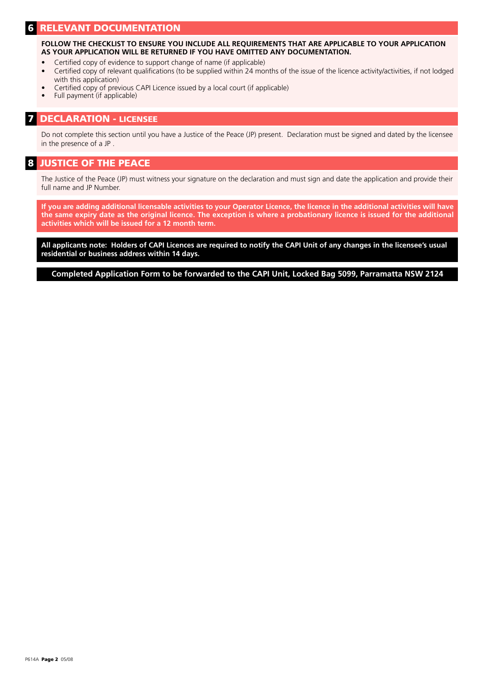## **RELEVANT DOCUMENTATION**

**FOLLOW THE CHECKLIST TO ENSURE YOU INCLUDE ALL REQUIREMENTS THAT ARE APPLICABLE TO YOUR APPLICATION AS YOUR APPLICATION WILL BE RETURNED IF YOU HAVE OMITTED ANY DOCUMENTATION.**

- Certified copy of evidence to support change of name (if applicable)
- Certified copy of relevant qualifications (to be supplied within 24 months of the issue of the licence activity/activities, if not lodged with this application)
- Certified copy of previous CAPI Licence issued by a local court (if applicable)
- Full payment (if applicable)

#### 7 DECLARATION - LICENSEE

Do not complete this section until you have a Justice of the Peace (JP) present. Declaration must be signed and dated by the licensee in the presence of a JP .

### 8 JUSTICE OF THE PEACE

The Justice of the Peace (JP) must witness your signature on the declaration and must sign and date the application and provide their full name and JP Number.

**If you are adding additional licensable activities to your Operator Licence, the licence in the additional activities will have the same expiry date as the original licence. The exception is where a probationary licence is issued for the additional activities which will be issued for a 12 month term.**

**All applicants note: Holders of CAPI Licences are required to notify the CAPI Unit of any changes in the licensee's usual residential or business address within 14 days.**

**Completed Application Form to be forwarded to the CAPI Unit, Locked Bag 5099, Parramatta NSW 2124**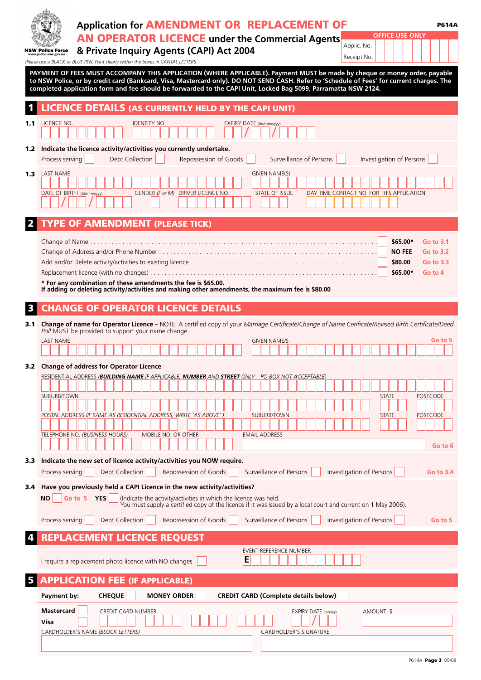|                  | <b>Application for AMENDMENT OR REPLACEMENT OF</b><br><b>P614A</b><br><b>OFFICE USE ONLY</b><br><b>AN OPERATOR LICENCE</b> under the Commercial Agents<br>Applic. No.<br>& Private Inquiry Agents (CAPI) Act 2004<br><b>NSW Police Force</b><br>www.police.nsw.gov.au<br>Receipt No.<br>Please use a BLACK or BLUE PEN. Print clearly within the boxes in CAPITAL LETTERS.<br>PAYMENT OF FEES MUST ACCOMPANY THIS APPLICATION (WHERE APPLICABLE). Payment MUST be made by cheque or money order, payable<br>to NSW Police, or by credit card (Bankcard, Visa, Mastercard only). DO NOT SEND CASH. Refer to 'Schedule of Fees' for current charges. The<br>completed application form and fee should be forwarded to the CAPI Unit, Locked Bag 5099, Parramatta NSW 2124. |
|------------------|--------------------------------------------------------------------------------------------------------------------------------------------------------------------------------------------------------------------------------------------------------------------------------------------------------------------------------------------------------------------------------------------------------------------------------------------------------------------------------------------------------------------------------------------------------------------------------------------------------------------------------------------------------------------------------------------------------------------------------------------------------------------------|
|                  | LICENCE DETAILS (AS CURRENTLY HELD BY THE CAPI UNIT)                                                                                                                                                                                                                                                                                                                                                                                                                                                                                                                                                                                                                                                                                                                     |
| 1.1              | LICENCE NO.<br><b>IDENTITY NO.</b><br>EXPIRY DATE (dd/mm/yyyy)                                                                                                                                                                                                                                                                                                                                                                                                                                                                                                                                                                                                                                                                                                           |
| 1.2 <sub>1</sub> | Indicate the licence activity/activities you currently undertake.<br>Surveillance of Persons<br>Investigation of Persons<br>Process serving<br>Debt Collection<br>Repossession of Goods                                                                                                                                                                                                                                                                                                                                                                                                                                                                                                                                                                                  |
| 1.3 <sub>1</sub> | <b>LAST NAME</b><br>GIVEN NAME(S)<br>GENDER (F or M) DRIVER LICENCE NO.<br><b>STATE OF ISSUE</b><br>DATE OF BIRTH (dd/mm/yyyy)<br>DAY TIME CONTACT NO. FOR THIS APPLICATION                                                                                                                                                                                                                                                                                                                                                                                                                                                                                                                                                                                              |
|                  | <b>TYPE OF AMENDMENT (PLEASE TICK)</b>                                                                                                                                                                                                                                                                                                                                                                                                                                                                                                                                                                                                                                                                                                                                   |
|                  | \$65.00*<br>Go to 3.1<br><b>NO FEE</b><br>Go to 3.2<br>\$80.00<br>Go to 3.3<br>\$65.00*<br>Go to 4<br>* For any combination of these amendments the fee is \$65.00.<br>If adding or deleting activity/activities and making other amendments, the maximum fee is \$80.00                                                                                                                                                                                                                                                                                                                                                                                                                                                                                                 |
|                  | <b>CHANGE OF OPERATOR LICENCE DETAILS</b>                                                                                                                                                                                                                                                                                                                                                                                                                                                                                                                                                                                                                                                                                                                                |
| 3.1              | Change of name for Operator Licence - NOTE: A certified copy of your Marriage Certificate/Change of Name Cerificate/Revised Birth Certificate/Deed<br>Poll MUST be provided to support your name change.<br><b>LAST NAME</b><br>Go to 5<br><b>GIVEN NAME/S</b>                                                                                                                                                                                                                                                                                                                                                                                                                                                                                                           |
|                  | 3.2 Change of address for Operator Licence<br>RESIDENTIAL ADDRESS (BUILDING NAME IF APPLICABLE, NUMBER AND STREET ONLY – PO BOX NOT ACCEPTABLE)<br>SUBURB/TOWN<br><b>STATE</b><br>POSTCODE<br>POSTAL ADDRESS (IF SAME AS RESIDENTIAL ADDRESS, WRITE 'AS ABOVE')<br>SUBURB/TOWN<br><b>POSTCODE</b><br><b>STATE</b><br>TELEPHONE NO. (BUSINESS HOURS)<br>MOBILE NO. OR OTHER<br><b>EMAIL ADDRESS</b><br>Go to 6                                                                                                                                                                                                                                                                                                                                                            |
| 3.3              | Indicate the new set of licence activity/activities you NOW require.                                                                                                                                                                                                                                                                                                                                                                                                                                                                                                                                                                                                                                                                                                     |
|                  | Debt Collection<br>Repossession of Goods<br>Surveillance of Persons<br>Investigation of Persons<br>Process serving<br>Go to 3.4                                                                                                                                                                                                                                                                                                                                                                                                                                                                                                                                                                                                                                          |
|                  | 3.4 Have you previously held a CAPI Licence in the new activity/activities?<br>Go to 5 YES<br>(Indicate the activity/activities in which the licence was held.<br>ΝO<br>You must supply a certified copy of the licence if it was issued by a local court and current on 1 May 2006).                                                                                                                                                                                                                                                                                                                                                                                                                                                                                    |
|                  | Debt Collection<br>Repossession of Goods<br>Surveillance of Persons<br>Investigation of Persons<br>Process serving<br>Go to 5                                                                                                                                                                                                                                                                                                                                                                                                                                                                                                                                                                                                                                            |
|                  | <b>REPLACEMENT LICENCE REQUEST</b><br>EVENT REFERENCE NUMBER<br>E<br>I require a replacement photo licence with NO changes                                                                                                                                                                                                                                                                                                                                                                                                                                                                                                                                                                                                                                               |
|                  | <b>APPLICATION FEE (IF APPLICABLE)</b>                                                                                                                                                                                                                                                                                                                                                                                                                                                                                                                                                                                                                                                                                                                                   |
|                  | <b>CHEQUE</b><br><b>MONEY ORDER</b><br><b>CREDIT CARD (Complete details below)</b><br>Payment by:                                                                                                                                                                                                                                                                                                                                                                                                                                                                                                                                                                                                                                                                        |
|                  | <b>Mastercard</b><br>CREDIT CARD NUMBER<br>EXPIRY DATE (mm/yy)<br>AMOUNT \$<br>Visa<br>CARDHOLDER'S NAME (BLOCK LETTERS)<br><b>CARDHOLDER'S SIGNATURE</b>                                                                                                                                                                                                                                                                                                                                                                                                                                                                                                                                                                                                                |